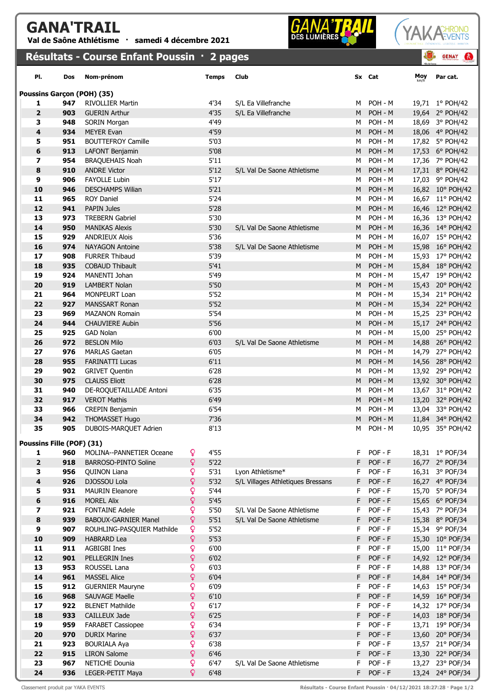## GANA'TRAIL

Val de Saône Athlétisme · samedi 4 décembre 2021

## **GANA**



|                           |            | Résultats - Course Enfant Poussin · 2 pages   |        |              |                                   |        |                    | 图   | $\bullet$<br><b>GENAY</b>            |
|---------------------------|------------|-----------------------------------------------|--------|--------------|-----------------------------------|--------|--------------------|-----|--------------------------------------|
| PI.                       | Dos        | Nom-prénom                                    |        | <b>Temps</b> | Club                              |        | Sx Cat             | Moy | Par cat.                             |
|                           |            | <b>Poussins Garçon (POH) (35)</b>             |        |              |                                   |        |                    |     |                                      |
| 1                         | 947        | <b>RIVOLLIER Martin</b>                       |        | 4'34         | S/L Ea Villefranche               | м      | POH - M            |     | 19,71 1° POH/42                      |
| $\overline{\mathbf{2}}$   | 903        | <b>GUERIN Arthur</b>                          |        | 4'35         | S/L Ea Villefranche               | M      | POH - M            |     | 19,64 2° POH/42                      |
| з                         | 948        | SORIN Morgan                                  |        | 4'49         |                                   | М      | POH - M            |     | 18,69 3° POH/42                      |
| 4                         | 934        | <b>MEYER Evan</b>                             |        | 4'59         |                                   | M      | POH - M            |     | 18,06 4° POH/42                      |
| 5                         | 951        | <b>BOUTTEFROY Camille</b>                     |        | 5'03         |                                   | м      | POH - M            |     | 17,82 5° POH/42                      |
| 6                         | 913        | LAFONT Benjamin                               |        | 5'08         |                                   | M      | POH - M            |     | 17,53 6° POH/42                      |
| $\overline{\mathbf{z}}$   | 954        | <b>BRAQUEHAIS Noah</b>                        |        | 5'11         |                                   | м      | POH - M            |     | 17,36 7° POH/42                      |
| 8                         | 910        | <b>ANDRE Victor</b>                           |        | 5'12         | S/L Val De Saone Athletisme       | M      | POH - M            |     | 17,31 8° POH/42                      |
| 9                         | 906        | <b>FAYOLLE Lubin</b>                          |        | 5'17         |                                   | м      | POH - M            |     | 17,03 9° POH/42                      |
| 10                        | 946        | <b>DESCHAMPS Wilian</b>                       |        | 5'21         |                                   | M      | POH - M            |     | 16,82 10° POH/42                     |
| 11                        | 965        | <b>ROY Daniel</b>                             |        | 5'24         |                                   | М      | POH - M            |     | 16,67 11° POH/42                     |
| 12                        | 941        | <b>PAPIN Jules</b>                            |        | 5'28         |                                   | M      | POH - M            |     | 16,46 12° POH/42                     |
| 13                        | 973        | <b>TREBERN Gabriel</b>                        |        | 5'30         |                                   | М      | POH - M            |     | 16,36 13° POH/42                     |
| 14                        | 950        | <b>MANIKAS Alexis</b>                         |        | 5'30         | S/L Val De Saone Athletisme       | M      | POH - M            |     | 16,36 14° POH/42                     |
| 15                        | 929        | <b>ANDRIEUX Alois</b>                         |        | 5'36         |                                   | м      | POH - M            |     | 16,07 15° POH/42                     |
| 16                        | 974        | <b>NAYAGON Antoine</b>                        |        | 5'38         | S/L Val De Saone Athletisme       | M      | POH - M            |     | 15,98 16° POH/42                     |
| 17                        | 908        | <b>FURRER Thibaud</b>                         |        | 5'39         |                                   | м      | POH - M            |     | 15,93 17° POH/42                     |
| 18                        | 935        | <b>COBAUD Thibault</b>                        |        | 5'41         |                                   | M      | POH - M            |     | 15,84 18° POH/42                     |
| 19                        | 924        | MANENTI Johan                                 |        | 5'49         |                                   | м      | POH - M            |     | 15,47 19° POH/42                     |
| 20                        | 919        | <b>LAMBERT Nolan</b>                          |        | 5'50         |                                   | M      | POH - M            |     | 15,43 20° POH/42                     |
| 21<br>22                  | 964<br>927 | <b>MONPEURT Loan</b><br><b>MANSSART Ronan</b> |        | 5'52<br>5'52 |                                   | м<br>M | POH - M<br>POH - M |     | 15,34 21° POH/42                     |
| 23                        | 969        | <b>MAZANON Romain</b>                         |        | 5'54         |                                   | м      | POH - M            |     | 15,34 22° POH/42<br>15,25 23° POH/42 |
| 24                        | 944        | <b>CHAUVIERE Aubin</b>                        |        | 5'56         |                                   | M      | POH - M            |     | 15,17 24° POH/42                     |
| 25                        | 925        | <b>GAD Nolan</b>                              |        | 6'00         |                                   | М      | POH - M            |     | 15,00 25° POH/42                     |
| 26                        | 972        | <b>BESLON Milo</b>                            |        | 6'03         | S/L Val De Saone Athletisme       | M      | POH - M            |     | 14,88 26° POH/42                     |
| 27                        | 976        | <b>MARLAS Gaetan</b>                          |        | 6'05         |                                   | м      | POH - M            |     | 14,79 27° POH/42                     |
| 28                        | 955        | <b>FARINATTI Lucas</b>                        |        | 6'11         |                                   | M      | POH - M            |     | 14,56 28° POH/42                     |
| 29                        | 902        | <b>GRIVET Quentin</b>                         |        | 6'28         |                                   | м      | POH - M            |     | 13,92 29° POH/42                     |
| 30                        | 975        | <b>CLAUSS Eliott</b>                          |        | 6'28         |                                   | M      | POH - M            |     | 13,92 30° POH/42                     |
| 31                        | 940        | DE-ROQUETAILLADE Antoni                       |        | 6'35         |                                   | м      | POH - M            |     | 13,67 31° POH/42                     |
| 32                        | 917        | <b>VEROT Mathis</b>                           |        | 6'49         |                                   | M      | POH - M            |     | 13,20 32° POH/42                     |
| 33                        | 966        | <b>CREPIN Benjamin</b>                        |        | 6'54         |                                   | м      | POH - M            |     | 13,04 33° POH/42                     |
| 34                        | 942        | <b>THOMASSET Hugo</b>                         |        | 7'36         |                                   | M      | POH - M            |     | 11,84 34° POH/42                     |
| 35                        | 905        | DUBOIS-MARQUET Adrien                         |        | 8'13         |                                   | M      | POH - M            |     | 10,95 35° POH/42                     |
| Poussins Fille (POF) (31) |            |                                               |        |              |                                   |        |                    |     |                                      |
| 1                         | 960        | MOLINA--PANNETIER Oceane                      | ò      | 4'55         |                                   | F      | $POF - F$          |     | 18,31 1° POF/34                      |
| $\mathbf{2}$              | 918        | <b>BARROSO-PINTO Soline</b>                   | ò      | 5'22         |                                   | F      | POF - F            |     | 16,77 2° POF/34                      |
| 3                         | 956        | <b>QUINON Liana</b>                           | Q      | 5'31         | Lyon Athletisme*                  | F      | $POF - F$          |     | 16,31 3° POF/34                      |
| 4                         | 926        | DJOSSOU Lola                                  | Q      | 5'32         | S/L Villages Athletiques Bressans | F      | POF - F            |     | 16,27 4° POF/34                      |
| 5                         | 931        | <b>MAURIN Eleanore</b>                        | Q      | 5'44         |                                   | F      | $POF - F$          |     | 15,70 5° POF/34                      |
| 6                         | 916        | <b>MOREL Alix</b>                             | Q      | 5'45         |                                   | F      | POF - F            |     | 15,65 6° POF/34                      |
| 7                         | 921        | <b>FONTAINE Adele</b>                         | ò      | 5'50         | S/L Val De Saone Athletisme       | F      | POF - F            |     | 15,43 7° POF/34                      |
| 8                         | 939        | <b>BABOUX-GARNIER Manel</b>                   | ò      | 5'51         | S/L Val De Saone Athletisme       | F      | POF - F            |     | 15,38 8° POF/34                      |
| 9                         | 907        | ROUHLING-PASQUIER Mathilde                    | ò      | 5'52         |                                   | F      | POF - F            |     | 15,34 9° POF/34                      |
| 10                        | 909        | <b>HABRARD Lea</b>                            | ò      | 5'53         |                                   | F      | POF - F            |     | 15,30 10° POF/34                     |
| 11                        | 911        | <b>AGBIGBI Ines</b>                           | ò      | 6'00         |                                   | F      | POF - F            |     | 15,00 11° POF/34                     |
| 12                        | 901        | PELLEGRIN Ines                                | Q      | 6'02         |                                   | F      | POF - F            |     | 14,92 12° POF/34                     |
| 13                        | 953        | ROUSSEL Lana                                  | ò      | 6'03         |                                   | F      | POF - F            |     | 14,88 13° POF/34                     |
| 14                        | 961        | <b>MASSEL Alice</b>                           | ò      | 6'04         |                                   | F      | POF - F            |     | 14,84 14° POF/34                     |
| 15                        | 912        | <b>GUERNIER Mauryne</b>                       | Q      | 6'09         |                                   | F      | POF - F            |     | 14,63 15° POF/34                     |
| 16                        | 968        | SAUVAGE Maelle                                | ò      | 6'10         |                                   | F      | POF - F            |     | 14,59 16° POF/34                     |
| 17                        | 922        | <b>BLENET Mathilde</b>                        | ò      | 6'17         |                                   | F      | POF - F<br>POF - F |     | 14,32 17° POF/34                     |
| 18                        | 933        | CAILLEUX Jade                                 | ò      | 6'25         |                                   | F      |                    |     | 14,03 18° POF/34                     |
| 19                        | 959        | <b>FARABET Cassiopee</b>                      | Q      | 6'34         |                                   | F      | POF - F<br>POF - F |     | 13,71 19° POF/34                     |
| 20                        | 970        | <b>DURIX Marine</b>                           | ò<br>ò | 6'37         |                                   | F      |                    |     | 13,60 20° POF/34                     |
| 21                        | 923        | <b>BOURIALA Aya</b><br><b>LIRON Salome</b>    | ò      | 6'38<br>6'46 |                                   | F<br>F | POF - F<br>POF - F |     | 13,57 21° POF/34                     |
| 22<br>23                  | 915        |                                               | Q.     | 6'47         |                                   | F      | POF - F            |     | 13,30 22° POF/34                     |
|                           | 967        | NETICHE Dounia                                |        |              | S/L Val De Saone Athletisme       |        |                    |     | 13,27 23° POF/34                     |

**24 936** LEGER-PETIT Maya  $\sqrt{ }$  6'48 F POF - F 13,24 24° POF/34